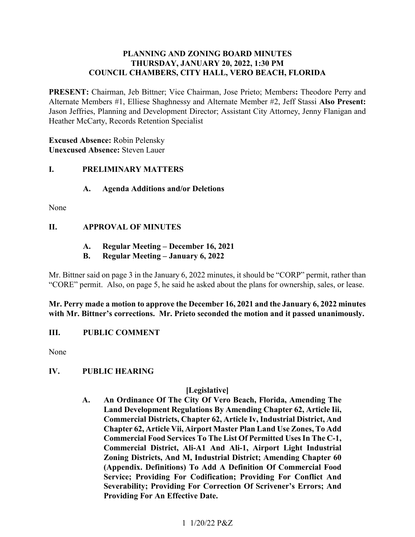### **PLANNING AND ZONING BOARD MINUTES THURSDAY, JANUARY 20, 2022, 1:30 PM COUNCIL CHAMBERS, CITY HALL, VERO BEACH, FLORIDA**

 **PRESENT:** Chairman, Jeb Bittner; Vice Chairman, Jose Prieto; Members**:** Theodore Perry and Alternate Members #1, Elliese Shaghnessy and Alternate Member #2, Jeff Stassi **Also Present:**  Jason Jeffries, Planning and Development Director; Assistant City Attorney, Jenny Flanigan and Heather McCarty, Records Retention Specialist

**Excused Absence:** Robin Pelensky **Unexcused Absence:** Steven Lauer

### **I**. **I. PRELIMINARY MATTERS**

### **A. Agenda Additions and/or Deletions**

None

## **II. APPROVAL OF MINUTES**

- **A. Regular Meeting December 16, 2021**
- **B. Regular Meeting January 6, 2022**

Mr. Bittner said on page 3 in the January 6, 2022 minutes, it should be "CORP" permit, rather than "CORE" permit. Also, on page 5, he said he asked about the plans for ownership, sales, or lease.

### **Mr. Perry made a motion to approve the December 16, 2021 and the January 6, 2022 minutes with Mr. Bittner's corrections. Mr. Prieto seconded the motion and it passed unanimously.**

### III. **III. PUBLIC COMMENT**

None

### **IV. PUBLIC HEARING**

### **[Legislative]**

 **Commercial Food Services To The List Of Permitted Uses In The C-1, Severability; Providing For Correction Of Scrivener's Errors; And Providing For An Effective Date. A. An Ordinance Of The City Of Vero Beach, Florida, Amending The Land Development Regulations By Amending Chapter 62, Article Iii, Commercial Districts, Chapter 62, Article Iv, Industrial District, And Chapter 62, Article Vii, Airport Master Plan Land Use Zones, To Add Commercial District, Ali-A1 And Ali-1, Airport Light Industrial Zoning Districts, And M, Industrial District; Amending Chapter 60 (Appendix. Definitions) To Add A Definition Of Commercial Food Service; Providing For Codification; Providing For Conflict And**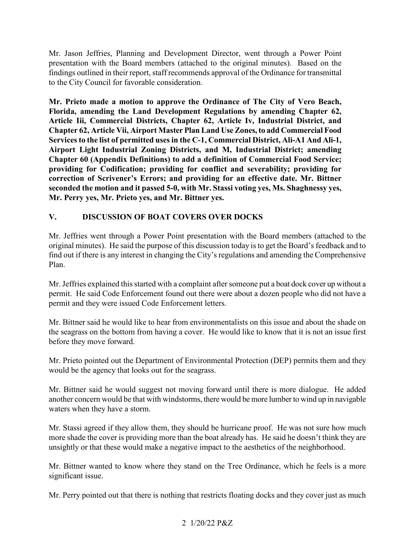presentation with the Board members (attached to the original minutes). Based on the Mr. Jason Jeffries, Planning and Development Director, went through a Power Point findings outlined in their report, staff recommends approval of the Ordinance for transmittal to the City Council for favorable consideration.

 **Article Iii, Commercial Districts, Chapter 62, Article Iv, Industrial District, and Chapter 62, Article Vii, Airport Master Plan Land Use Zones, to add Commercial Food Mr. Prieto made a motion to approve the Ordinance of The City of Vero Beach, Florida, amending the Land Development Regulations by amending Chapter 62, Services to the list of permitted uses in the C-1, Commercial District, Ali-A1 And Ali-1, Airport Light Industrial Zoning Districts, and M, Industrial District; amending Chapter 60 (Appendix Definitions) to add a definition of Commercial Food Service; providing for Codification; providing for conflict and severability; providing for correction of Scrivener's Errors; and providing for an effective date. Mr. Bittner seconded the motion and it passed 5-0, with Mr. Stassi voting yes, Ms. Shaghnessy yes,** 

# **Mr. Perry yes, Mr. Prieto yes, and Mr. Bittner yes.<br>V. DISCUSSION OF BOAT COVERS OVER DOCKS V**.

 Mr. Jeffries went through a Power Point presentation with the Board members (attached to the original minutes). He said the purpose of this discussion today is to get the Board's feedback and to find out if there is any interest in changing the City's regulations and amending the Comprehensive Plan.

 permit and they were issued Code Enforcement letters. Mr. Jeffries explained this started with a complaint after someone put a boat dock cover up without a permit. He said Code Enforcement found out there were about a dozen people who did not have a

 the seagrass on the bottom from having a cover. He would like to know that it is not an issue first before they move forward. Mr. Bittner said he would like to hear from environmentalists on this issue and about the shade on

before they move forward.<br>Mr. Prieto pointed out the Department of Environmental Protection (DEP) permits them and they would be the agency that looks out for the seagrass.

Mr. Bittner said he would suggest not moving forward until there is more dialogue. He added another concern would be that with windstorms, there would be more lumber to wind up in navigable waters when they have a storm.

Mr. Stassi agreed if they allow them, they should be hurricane proof. He was not sure how much more shade the cover is providing more than the boat already has. He said he doesn't think they are unsightly or that these would make a negative impact to the aesthetics of the neighborhood.

Mr. Bittner wanted to know where they stand on the Tree Ordinance, which he feels is a more significant issue.

Mr. Perry pointed out that there is nothing that restricts floating docks and they cover just as much

### 2 1/20/22 P&Z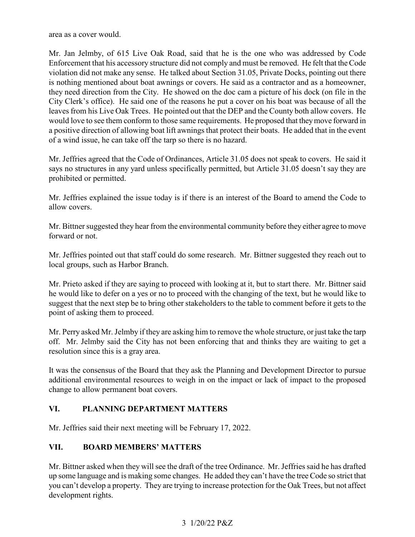area as a cover would.

 Mr. Jan Jelmby, of 615 Live Oak Road, said that he is the one who was addressed by Code Enforcement that his accessory structure did not comply and must be removed. He felt that the Code they need direction from the City. He showed on the doc cam a picture of his dock (on file in the City Clerk's office). He said one of the reasons he put a cover on his boat was because of all the leaves from his Live Oak Trees. He pointed out that the DEP and the County both allow covers. He would love to see them conform to those same requirements. He proposed that they move forward in a positive direction of allowing boat lift awnings that protect their boats. He added that in the event of a wind issue, he can take off the tarp so there is no hazard. violation did not make any sense. He talked about Section 31.05, Private Docks, pointing out there is nothing mentioned about boat awnings or covers. He said as a contractor and as a homeowner,

Mr. Jeffries agreed that the Code of Ordinances, Article 31.05 does not speak to covers. He said it says no structures in any yard unless specifically permitted, but Article 31.05 doesn't say they are prohibited or permitted.

Mr. Jeffries explained the issue today is if there is an interest of the Board to amend the Code to allow covers.

Mr. Bittner suggested they hear from the environmental community before they either agree to move forward or not.

 Mr. Jeffries pointed out that staff could do some research. Mr. Bittner suggested they reach out to local groups, such as Harbor Branch.

 suggest that the next step be to bring other stakeholders to the table to comment before it gets to the Mr. Prieto asked if they are saying to proceed with looking at it, but to start there. Mr. Bittner said he would like to defer on a yes or no to proceed with the changing of the text, but he would like to point of asking them to proceed.

 off. Mr. Jelmby said the City has not been enforcing that and thinks they are waiting to get a Mr. Perry asked Mr. Jelmby if they are asking him to remove the whole structure, or just take the tarp resolution since this is a gray area.

 change to allow permanent boat covers. It was the consensus of the Board that they ask the Planning and Development Director to pursue additional environmental resources to weigh in on the impact or lack of impact to the proposed

### $\mathbf{VI}$ **VI. PLANNING DEPARTMENT MATTERS**

Mr. Jeffries said their next meeting will be February 17, 2022.

### **VII. BOARD MEMBERS' MATTERS**

 Mr. Bittner asked when they will see the draft of the tree Ordinance. Mr. Jeffries said he has drafted you can't develop a property. They are trying to increase protection for the Oak Trees, but not affect development rights. up some language and is making some changes. He added they can't have the tree Code so strict that